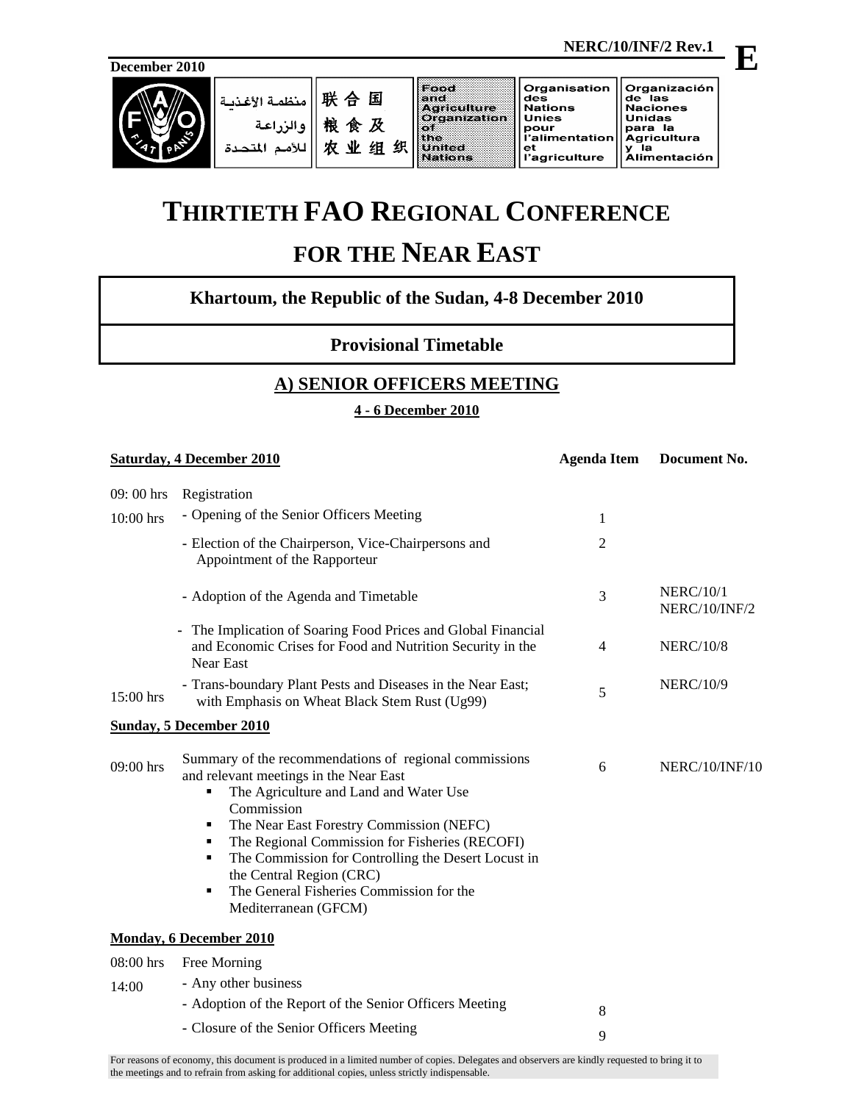

|  | .   联    منظمة الأغذبـة '<br>والزراعة<br>اللأهما | 国<br>粮食及<br>织<br>- NV<br>细<br>ザカ | 8 3 3 3 3 4<br><b>Verrieuflähre.</b><br><b>Organization</b> | Organisation<br>des<br><b>Nations</b><br><b>Unies</b><br>pour<br>l'alimentation   Agricultura<br>еt<br>l'agriculture | Organización<br>lde las<br><b>Naciones</b><br>Unidas<br>para la<br>la<br><b>Alimentación</b> |
|--|--------------------------------------------------|----------------------------------|-------------------------------------------------------------|----------------------------------------------------------------------------------------------------------------------|----------------------------------------------------------------------------------------------|
|--|--------------------------------------------------|----------------------------------|-------------------------------------------------------------|----------------------------------------------------------------------------------------------------------------------|----------------------------------------------------------------------------------------------|

# **THIRTIETH FAO REGIONAL CONFERENCE**

# **FOR THE NEAR EAST**

## **Khartoum, the Republic of the Sudan, 4-8 December 2010**

**Provisional Timetable** 

### **A) SENIOR OFFICERS MEETING**

#### **4 - 6 December 2010**

| <b>Saturday, 4 December 2010</b> |                                                                                                                                                                                                                                                                                                                                                                                                                              | <b>Agenda Item</b> | Document No.                      |
|----------------------------------|------------------------------------------------------------------------------------------------------------------------------------------------------------------------------------------------------------------------------------------------------------------------------------------------------------------------------------------------------------------------------------------------------------------------------|--------------------|-----------------------------------|
| 09:00 hrs                        | Registration                                                                                                                                                                                                                                                                                                                                                                                                                 |                    |                                   |
| 10:00 hrs                        | - Opening of the Senior Officers Meeting                                                                                                                                                                                                                                                                                                                                                                                     | 1                  |                                   |
|                                  | - Election of the Chairperson, Vice-Chairpersons and<br>Appointment of the Rapporteur                                                                                                                                                                                                                                                                                                                                        | $\overline{c}$     |                                   |
|                                  | - Adoption of the Agenda and Timetable                                                                                                                                                                                                                                                                                                                                                                                       | 3                  | <b>NERC/10/1</b><br>NERC/10/INF/2 |
|                                  | - The Implication of Soaring Food Prices and Global Financial<br>and Economic Crises for Food and Nutrition Security in the<br>Near East                                                                                                                                                                                                                                                                                     | $\overline{4}$     | <b>NERC/10/8</b>                  |
| $15:00$ hrs                      | - Trans-boundary Plant Pests and Diseases in the Near East;<br>with Emphasis on Wheat Black Stem Rust (Ug99)                                                                                                                                                                                                                                                                                                                 | 5                  | <b>NERC/10/9</b>                  |
|                                  | <b>Sunday, 5 December 2010</b>                                                                                                                                                                                                                                                                                                                                                                                               |                    |                                   |
| 09:00 hrs                        | Summary of the recommendations of regional commissions<br>and relevant meetings in the Near East<br>The Agriculture and Land and Water Use<br>٠<br>Commission<br>The Near East Forestry Commission (NEFC)<br>The Regional Commission for Fisheries (RECOFI)<br>٠<br>The Commission for Controlling the Desert Locust in<br>٠<br>the Central Region (CRC)<br>The General Fisheries Commission for the<br>Mediterranean (GFCM) | 6                  | NERC/10/INF/10                    |
|                                  | <b>Monday, 6 December 2010</b>                                                                                                                                                                                                                                                                                                                                                                                               |                    |                                   |
| 08:00 hrs                        | Free Morning                                                                                                                                                                                                                                                                                                                                                                                                                 |                    |                                   |
| 14:00                            | - Any other business                                                                                                                                                                                                                                                                                                                                                                                                         |                    |                                   |
|                                  | - Adoption of the Report of the Senior Officers Meeting                                                                                                                                                                                                                                                                                                                                                                      | 8                  |                                   |
|                                  | - Closure of the Senior Officers Meeting                                                                                                                                                                                                                                                                                                                                                                                     | 9                  |                                   |

**E**

For reasons of economy, this document is produced in a limited number of copies. Delegates and observers are kindly requested to bring it to the meetings and to refrain from asking for additional copies, unless strictly indispensable.